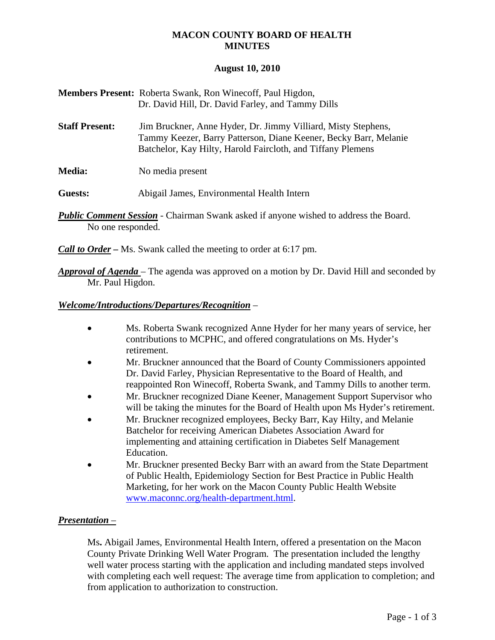# **MACON COUNTY BOARD OF HEALTH MINUTES**

### **August 10, 2010**

| <b>Members Present:</b> Roberta Swank, Ron Winecoff, Paul Higdon, |
|-------------------------------------------------------------------|
| Dr. David Hill, Dr. David Farley, and Tammy Dills                 |

- **Staff Present:** Jim Bruckner, Anne Hyder, Dr. Jimmy Villiard, Misty Stephens, Tammy Keezer, Barry Patterson, Diane Keener, Becky Barr, Melanie Batchelor, Kay Hilty, Harold Faircloth, and Tiffany Plemens
- **Media:** No media present

**Guests:** Abigail James, Environmental Health Intern

**Public Comment Session** - Chairman Swank asked if anyone wished to address the Board. No one responded.

*Call to Order –* Ms. Swank called the meeting to order at 6:17 pm.

*Approval of Agenda* – The agenda was approved on a motion by Dr. David Hill and seconded by Mr. Paul Higdon.

### *Welcome/Introductions/Departures/Recognition* –

- Ms. Roberta Swank recognized Anne Hyder for her many years of service, her contributions to MCPHC, and offered congratulations on Ms. Hyder's retirement.
- Mr. Bruckner announced that the Board of County Commissioners appointed Dr. David Farley, Physician Representative to the Board of Health, and reappointed Ron Winecoff, Roberta Swank, and Tammy Dills to another term.
- Mr. Bruckner recognized Diane Keener, Management Support Supervisor who will be taking the minutes for the Board of Health upon Ms Hyder's retirement.
- Mr. Bruckner recognized employees, Becky Barr, Kay Hilty, and Melanie Batchelor for receiving American Diabetes Association Award for implementing and attaining certification in Diabetes Self Management Education.
- Mr. Bruckner presented Becky Barr with an award from the State Department of Public Health, Epidemiology Section for Best Practice in Public Health Marketing, for her work on the Macon County Public Health Website [www.maconnc.org/health-department.html.](http://www.maconnc.org/health-department.html)

### *Presentation –*

Ms**.** Abigail James, Environmental Health Intern, offered a presentation on the Macon County Private Drinking Well Water Program. The presentation included the lengthy well water process starting with the application and including mandated steps involved with completing each well request: The average time from application to completion; and from application to authorization to construction.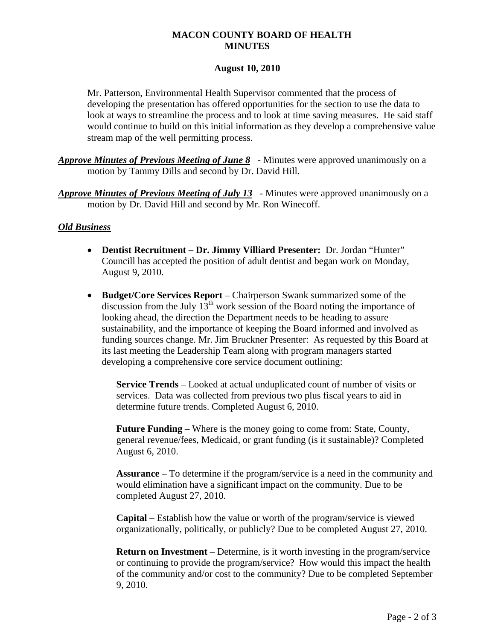# **MACON COUNTY BOARD OF HEALTH MINUTES**

### **August 10, 2010**

Mr. Patterson, Environmental Health Supervisor commented that the process of developing the presentation has offered opportunities for the section to use the data to look at ways to streamline the process and to look at time saving measures. He said staff would continue to build on this initial information as they develop a comprehensive value stream map of the well permitting process.

- *Approve Minutes of Previous Meeting of June 8* Minutes were approved unanimously on a motion by Tammy Dills and second by Dr. David Hill.
- *Approve Minutes of Previous Meeting of July 13* Minutes were approved unanimously on a motion by Dr. David Hill and second by Mr. Ron Winecoff.

## *Old Business*

- **Dentist Recruitment Dr. Jimmy Villiard Presenter:** Dr. Jordan "Hunter" Councill has accepted the position of adult dentist and began work on Monday, August 9, 2010.
- **Budget/Core Services Report** Chairperson Swank summarized some of the discussion from the July  $13<sup>th</sup>$  work session of the Board noting the importance of looking ahead, the direction the Department needs to be heading to assure sustainability, and the importance of keeping the Board informed and involved as funding sources change. Mr. Jim Bruckner Presenter: As requested by this Board at its last meeting the Leadership Team along with program managers started developing a comprehensive core service document outlining:

**Service Trends** – Looked at actual unduplicated count of number of visits or services. Data was collected from previous two plus fiscal years to aid in determine future trends. Completed August 6, 2010.

**Future Funding** – Where is the money going to come from: State, County, general revenue/fees, Medicaid, or grant funding (is it sustainable)? Completed August 6, 2010.

**Assurance** – To determine if the program/service is a need in the community and would elimination have a significant impact on the community. Due to be completed August 27, 2010.

**Capital** – Establish how the value or worth of the program/service is viewed organizationally, politically, or publicly? Due to be completed August 27, 2010.

**Return on Investment** – Determine, is it worth investing in the program/service or continuing to provide the program/service? How would this impact the health of the community and/or cost to the community? Due to be completed September 9, 2010.